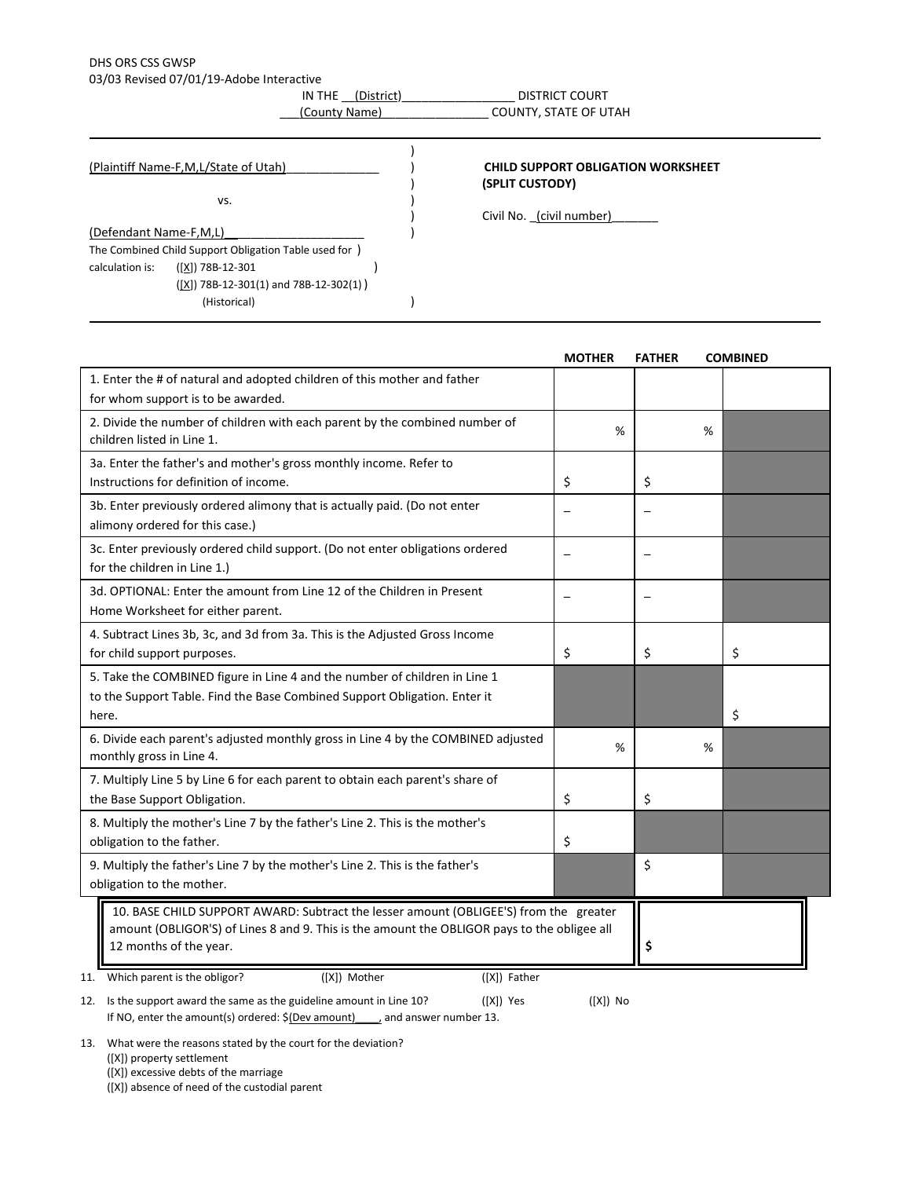## DHS ORS CSS GWSP

03/03 Revised 07/01/19-Adobe Interactive

IN THE <u>(District)</u> \_\_\_\_\_\_\_\_\_\_\_\_\_\_\_\_\_\_\_\_\_ DISTRICT COURT \_\_\_(County Name)\_\_\_\_\_\_\_\_\_\_\_\_\_\_\_\_ COUNTY, STATE OF UTAH

|                        | (Plaintiff Name-F,M,L/State of Utah)                   |  | <b>CHILD SUPPORT OBLIGATION WORKSHEET</b><br>(SPLIT CUSTODY) |
|------------------------|--------------------------------------------------------|--|--------------------------------------------------------------|
|                        | VS.                                                    |  |                                                              |
|                        |                                                        |  | Civil No. (civil number)                                     |
| (Defendant Name-F,M,L) |                                                        |  |                                                              |
|                        | The Combined Child Support Obligation Table used for ) |  |                                                              |
| calculation is:        | $([X])$ 78B-12-301                                     |  |                                                              |
|                        | $([X])$ 78B-12-301(1) and 78B-12-302(1))               |  |                                                              |
|                        | (Historical)                                           |  |                                                              |

|                                                                                                                                                                                                                | <b>MOTHER</b> | <b>FATHER</b> | <b>COMBINED</b> |
|----------------------------------------------------------------------------------------------------------------------------------------------------------------------------------------------------------------|---------------|---------------|-----------------|
| 1. Enter the # of natural and adopted children of this mother and father<br>for whom support is to be awarded.                                                                                                 |               |               |                 |
| 2. Divide the number of children with each parent by the combined number of<br>children listed in Line 1.                                                                                                      | %             |               | %               |
| 3a. Enter the father's and mother's gross monthly income. Refer to<br>Instructions for definition of income.                                                                                                   | \$            | \$            |                 |
| 3b. Enter previously ordered alimony that is actually paid. (Do not enter<br>alimony ordered for this case.)                                                                                                   |               |               |                 |
| 3c. Enter previously ordered child support. (Do not enter obligations ordered<br>for the children in Line 1.)                                                                                                  |               |               |                 |
| 3d. OPTIONAL: Enter the amount from Line 12 of the Children in Present<br>Home Worksheet for either parent.                                                                                                    |               |               |                 |
| 4. Subtract Lines 3b, 3c, and 3d from 3a. This is the Adjusted Gross Income<br>for child support purposes.                                                                                                     | \$            | \$            | \$              |
| 5. Take the COMBINED figure in Line 4 and the number of children in Line 1<br>to the Support Table. Find the Base Combined Support Obligation. Enter it<br>here.                                               |               |               | \$              |
| 6. Divide each parent's adjusted monthly gross in Line 4 by the COMBINED adjusted<br>monthly gross in Line 4.                                                                                                  | %             |               | %               |
| 7. Multiply Line 5 by Line 6 for each parent to obtain each parent's share of<br>the Base Support Obligation.                                                                                                  | \$            | Ś.            |                 |
| 8. Multiply the mother's Line 7 by the father's Line 2. This is the mother's<br>obligation to the father.                                                                                                      | \$            |               |                 |
| 9. Multiply the father's Line 7 by the mother's Line 2. This is the father's<br>obligation to the mother.                                                                                                      |               | \$            |                 |
| 10. BASE CHILD SUPPORT AWARD: Subtract the lesser amount (OBLIGEE'S) from the greater<br>amount (OBLIGOR'S) of Lines 8 and 9. This is the amount the OBLIGOR pays to the obligee all<br>12 months of the year. | \$            |               |                 |
| ([X]) Mother<br>([X]) Father<br>11. Which parent is the obligor?                                                                                                                                               |               |               |                 |

12. Is the support award the same as the guideline amount in Line 10? ([X]) Yes ([X]) No If NO, enter the amount(s) ordered:  $$(\text{Dev amount})$  and answer number 13.

13. What were the reasons stated by the court for the deviation?

([X]) property settlement

([X]) excessive debts of the marriage

([X]) absence of need of the custodial parent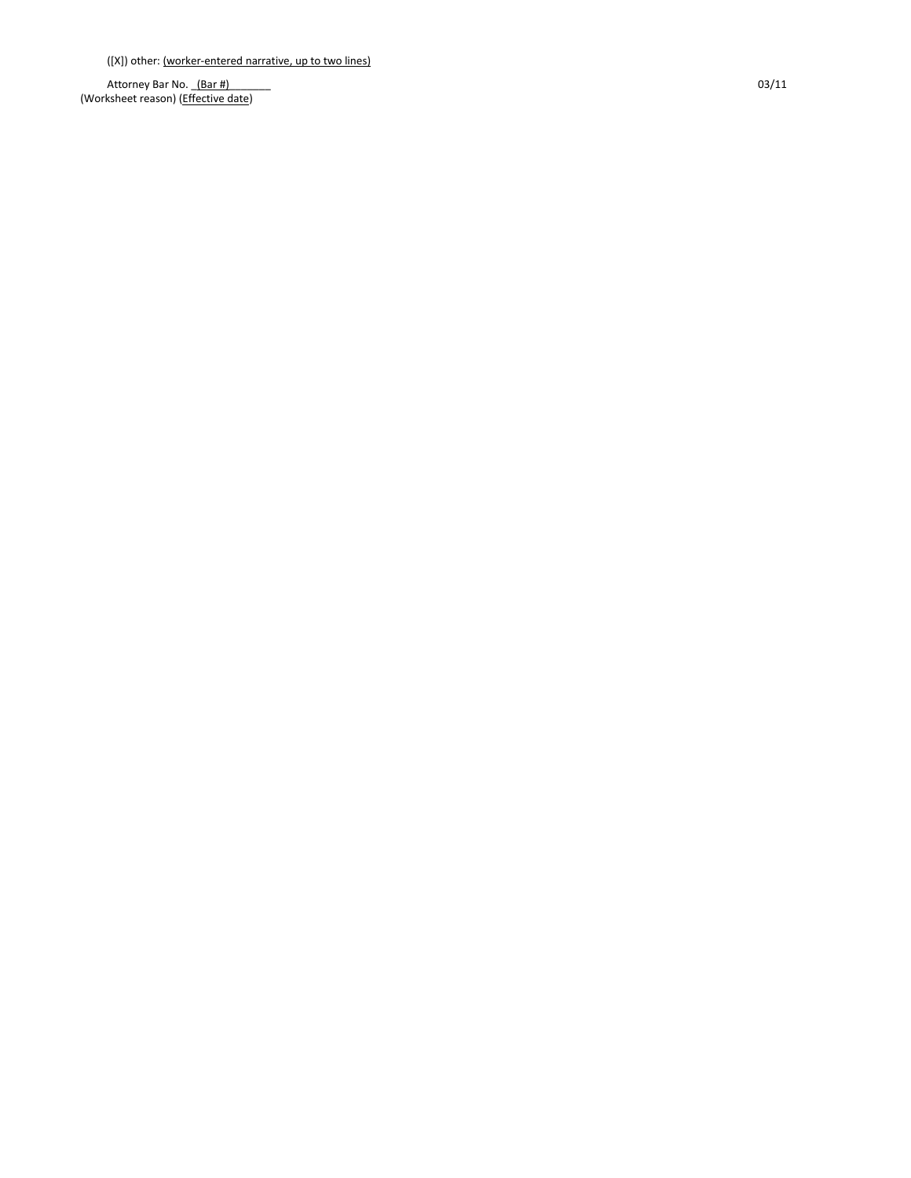([X]) other: (worker -entered narrative, up to two lines)

Attorney Bar No. \_(Bar #)\_\_\_\_\_\_\_ 03/11 (Worksheet reason) (Effective date)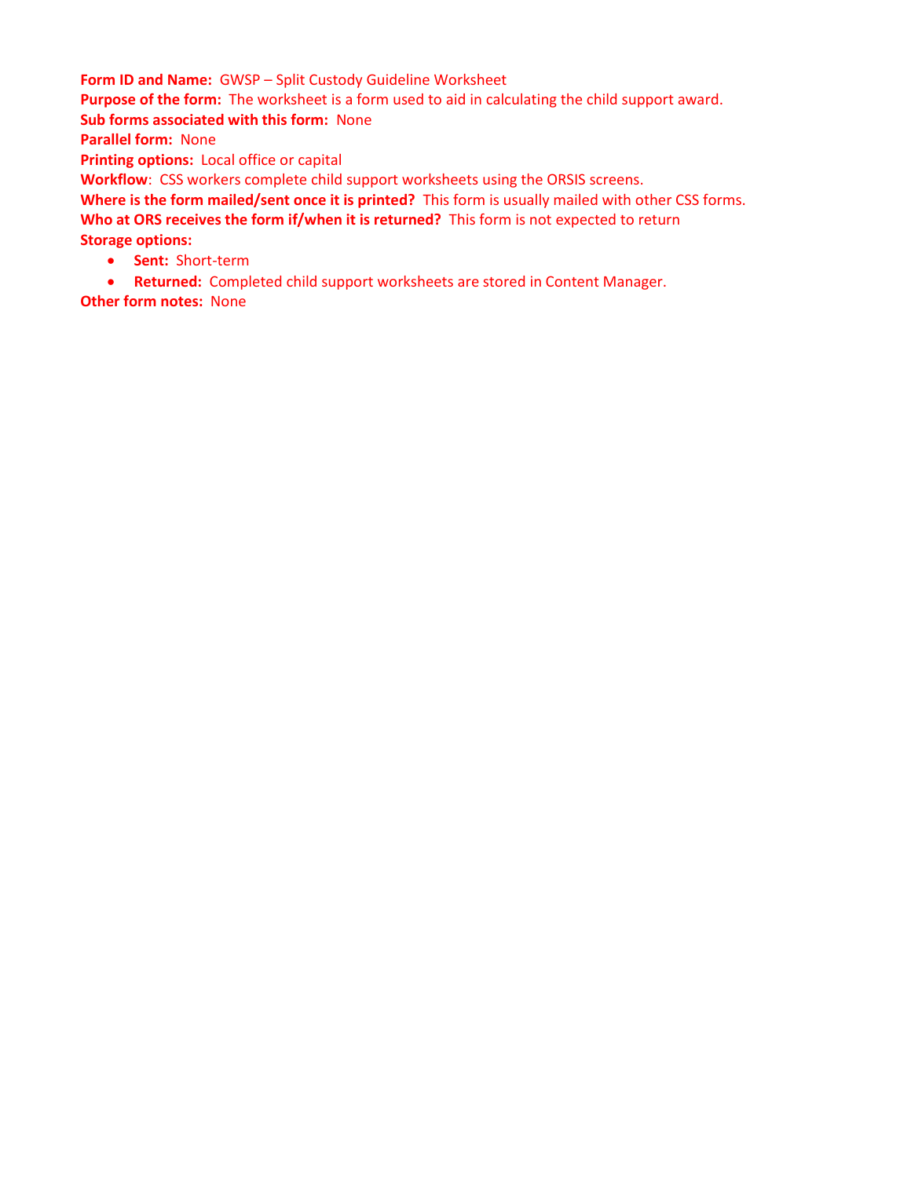**Form ID and Name:** GWSP – Split Custody Guideline Worksheet **Purpose of the form:** The worksheet is a form used to aid in calculating the child support award. **Sub forms associated with this form:** None **Parallel form:** None **Printing options:** Local office or capital **Workflow**: CSS workers complete child support worksheets using the ORSIS screens.

**Where is the form mailed/sent once it is printed?** This form is usually mailed with other CSS forms. **Who at ORS receives the form if/when it is returned?** This form is not expected to return **Storage options:** 

- **Sent:** Short-term
- **Returned:** Completed child support worksheets are stored in Content Manager.

**Other form notes:** None